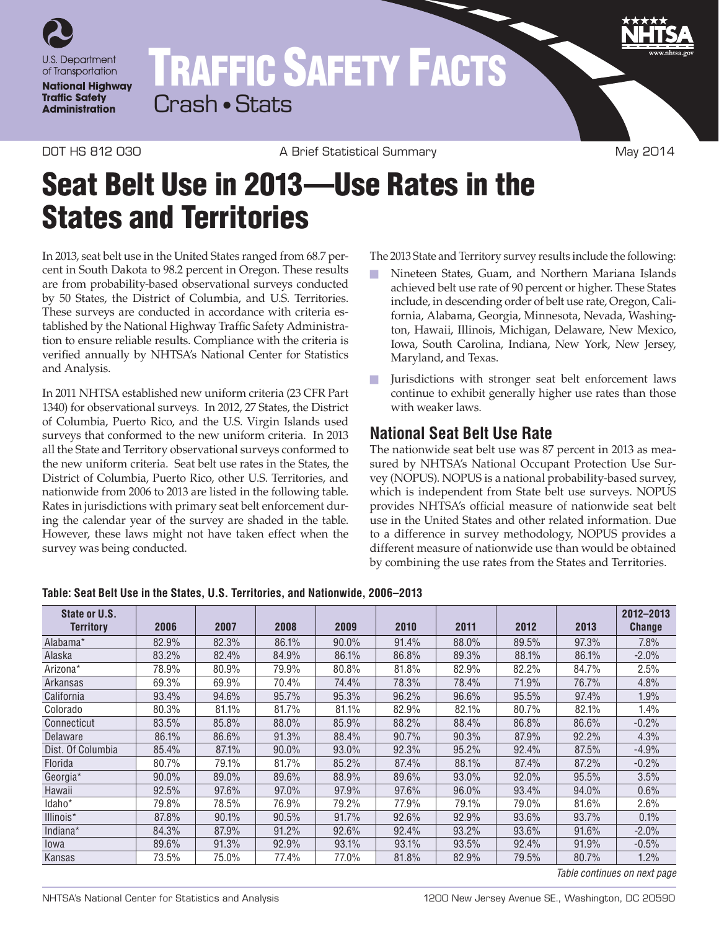

## TRAFFIC SAFETY FACTS Crash • Stats

DOT HS 812 030 A Brief Statistical Summary May 2014

## Seat Belt Use in 2013—Use Rates in the States and Territories

In 2013, seat belt use in the United States ranged from 68.7 percent in South Dakota to 98.2 percent in Oregon. These results are from probability-based observational surveys conducted by 50 States, the District of Columbia, and U.S. Territories. These surveys are conducted in accordance with criteria established by the National Highway Traffic Safety Administration to ensure reliable results. Compliance with the criteria is verified annually by NHTSA's National Center for Statistics and Analysis.

In 2011 NHTSA established new uniform criteria (23 CFR Part 1340) for observational surveys. In 2012, 27 States, the District of Columbia, Puerto Rico, and the U.S. Virgin Islands used surveys that conformed to the new uniform criteria. In 2013 all the State and Territory observational surveys conformed to the new uniform criteria. Seat belt use rates in the States, the District of Columbia, Puerto Rico, other U.S. Territories, and nationwide from 2006 to 2013 are listed in the following table. Rates in jurisdictions with primary seat belt enforcement during the calendar year of the survey are shaded in the table. However, these laws might not have taken effect when the survey was being conducted.

The 2013 State and Territory survey results include the following:

- n Nineteen States, Guam, and Northern Mariana Islands achieved belt use rate of 90 percent or higher. These States include, in descending order of belt use rate, Oregon, California, Alabama, Georgia, Minnesota, Nevada, Washington, Hawaii, Illinois, Michigan, Delaware, New Mexico, Iowa, South Carolina, Indiana, New York, New Jersey, Maryland, and Texas.
- **n** Jurisdictions with stronger seat belt enforcement laws continue to exhibit generally higher use rates than those with weaker laws.

## **National Seat Belt Use Rate**

The nationwide seat belt use was 87 percent in 2013 as measured by NHTSA's National Occupant Protection Use Survey (NOPUS). NOPUS is a national probability-based survey, which is independent from State belt use surveys. NOPUS provides NHTSA's official measure of nationwide seat belt use in the United States and other related information. Due to a difference in survey methodology, NOPUS provides a different measure of nationwide use than would be obtained by combining the use rates from the States and Territories.

| State or U.S.<br><b>Territory</b> | 2006     | 2007  | 2008  | 2009     | 2010  | 2011  | 2012  | 2013  | 2012-2013<br><b>Change</b> |
|-----------------------------------|----------|-------|-------|----------|-------|-------|-------|-------|----------------------------|
| Alabama*                          | 82.9%    | 82.3% | 86.1% | $90.0\%$ | 91.4% | 88.0% | 89.5% | 97.3% | 7.8%                       |
| Alaska                            | 83.2%    | 82.4% | 84.9% | 86.1%    | 86.8% | 89.3% | 88.1% | 86.1% | $-2.0%$                    |
| Arizona*                          | 78.9%    | 80.9% | 79.9% | 80.8%    | 81.8% | 82.9% | 82.2% | 84.7% | 2.5%                       |
| Arkansas                          | 69.3%    | 69.9% | 70.4% | 74.4%    | 78.3% | 78.4% | 71.9% | 76.7% | 4.8%                       |
| California                        | 93.4%    | 94.6% | 95.7% | 95.3%    | 96.2% | 96.6% | 95.5% | 97.4% | 1.9%                       |
| Colorado                          | 80.3%    | 81.1% | 81.7% | 81.1%    | 82.9% | 82.1% | 80.7% | 82.1% | l.4%                       |
| Connecticut                       | 83.5%    | 85.8% | 88.0% | 85.9%    | 88.2% | 88.4% | 86.8% | 86.6% | $-0.2%$                    |
| Delaware                          | 86.1%    | 86.6% | 91.3% | 88.4%    | 90.7% | 90.3% | 87.9% | 92.2% | 4.3%                       |
| Dist. Of Columbia                 | 85.4%    | 87.1% | 90.0% | 93.0%    | 92.3% | 95.2% | 92.4% | 87.5% | $-4.9%$                    |
| Florida                           | 80.7%    | 79.1% | 81.7% | 85.2%    | 87.4% | 88.1% | 87.4% | 87.2% | $-0.2%$                    |
| Georgia*                          | $90.0\%$ | 89.0% | 89.6% | 88.9%    | 89.6% | 93.0% | 92.0% | 95.5% | 3.5%                       |
| Hawaii                            | 92.5%    | 97.6% | 97.0% | 97.9%    | 97.6% | 96.0% | 93.4% | 94.0% | 0.6%                       |
| Idaho*                            | 79.8%    | 78.5% | 76.9% | 79.2%    | 77.9% | 79.1% | 79.0% | 81.6% | $2.6\%$                    |
| Illinois*                         | 87.8%    | 90.1% | 90.5% | 91.7%    | 92.6% | 92.9% | 93.6% | 93.7% | 0.1%                       |
| Indiana*                          | 84.3%    | 87.9% | 91.2% | 92.6%    | 92.4% | 93.2% | 93.6% | 91.6% | $-2.0%$                    |
| lowa                              | 89.6%    | 91.3% | 92.9% | 93.1%    | 93.1% | 93.5% | 92.4% | 91.9% | $-0.5%$                    |
| Kansas                            | 73.5%    | 75.0% | 77.4% | 77.0%    | 81.8% | 82.9% | 79.5% | 80.7% | 1.2%                       |

**Table: Seat Belt Use in the States, U.S. Territories, and Nationwide, 2006–2013**

*Table continues on next page*